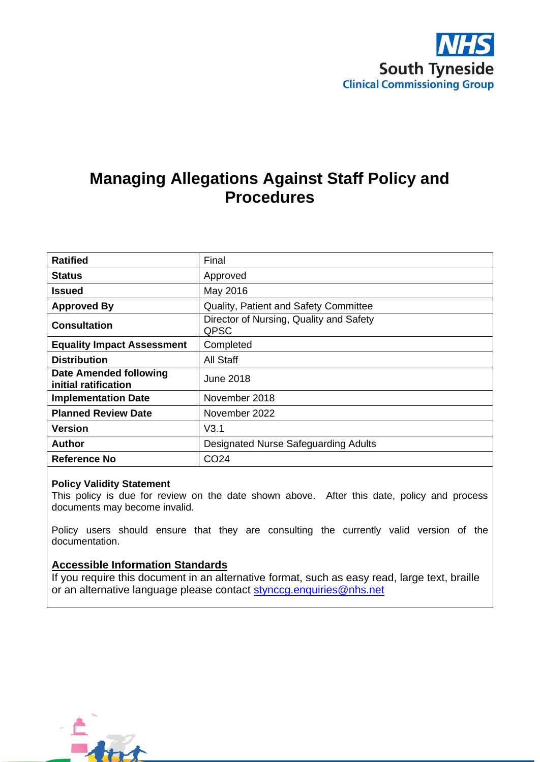

# **Managing Allegations Against Staff Policy and Procedures**

| <b>Ratified</b>                                       | Final                                           |
|-------------------------------------------------------|-------------------------------------------------|
| <b>Status</b>                                         | Approved                                        |
| <b>Issued</b>                                         | May 2016                                        |
| <b>Approved By</b>                                    | <b>Quality, Patient and Safety Committee</b>    |
| <b>Consultation</b>                                   | Director of Nursing, Quality and Safety<br>QPSC |
| <b>Equality Impact Assessment</b>                     | Completed                                       |
| <b>Distribution</b>                                   | All Staff                                       |
| <b>Date Amended following</b><br>initial ratification | June 2018                                       |
| <b>Implementation Date</b>                            | November 2018                                   |
| <b>Planned Review Date</b>                            | November 2022                                   |
| <b>Version</b>                                        | V3.1                                            |
| <b>Author</b>                                         | <b>Designated Nurse Safeguarding Adults</b>     |
| Reference No                                          | CO <sub>24</sub>                                |

#### **Policy Validity Statement**

This policy is due for review on the date shown above. After this date, policy and process documents may become invalid.

Policy users should ensure that they are consulting the currently valid version of the documentation.

#### **Accessible Information Standards**

If you require this document in an alternative format, such as easy read, large text, braille or an alternative language please contact [stynccg.enquiries@nhs.net](mailto:stynccg.enquiries@nhs.net)

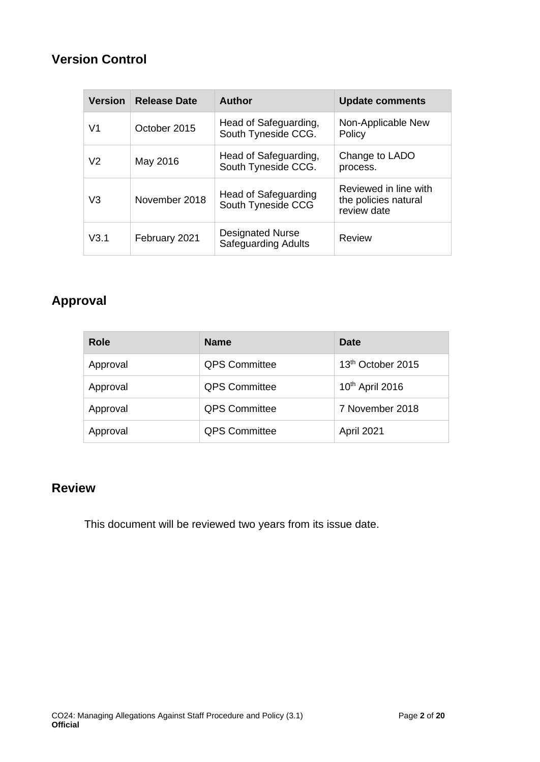## **Version Control**

| <b>Version</b> | <b>Release Date</b> | <b>Author</b>                                         | <b>Update comments</b>                                       |
|----------------|---------------------|-------------------------------------------------------|--------------------------------------------------------------|
| V1             | October 2015        | Head of Safeguarding,<br>South Tyneside CCG.          | Non-Applicable New<br>Policy                                 |
| V <sub>2</sub> | May 2016            | Head of Safeguarding,<br>South Tyneside CCG.          | Change to LADO<br>process.                                   |
| V3             | November 2018       | Head of Safeguarding<br>South Tyneside CCG            | Reviewed in line with<br>the policies natural<br>review date |
| V3.1           | February 2021       | <b>Designated Nurse</b><br><b>Safeguarding Adults</b> | Review                                                       |

# **Approval**

| Role     | <b>Name</b>          | Date                          |
|----------|----------------------|-------------------------------|
| Approval | <b>QPS Committee</b> | 13 <sup>th</sup> October 2015 |
| Approval | <b>QPS Committee</b> | 10 <sup>th</sup> April 2016   |
| Approval | <b>QPS Committee</b> | 7 November 2018               |
| Approval | <b>QPS Committee</b> | April 2021                    |

## **Review**

This document will be reviewed two years from its issue date.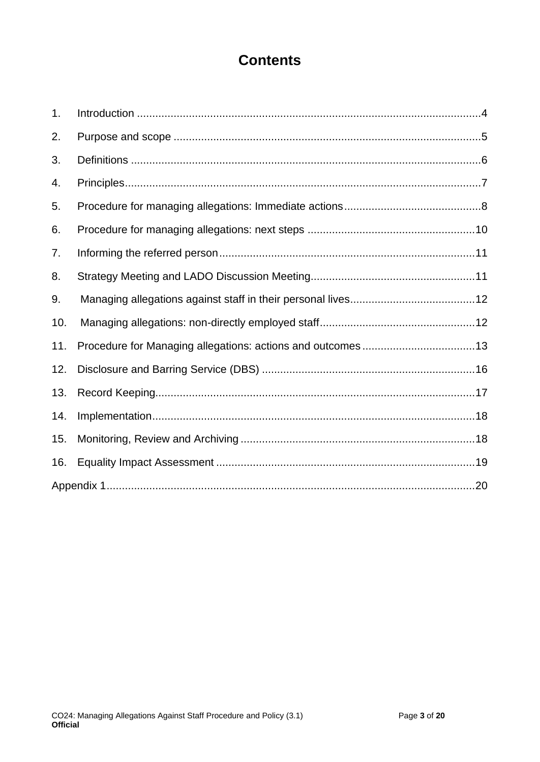# **Contents**

| 1.  |  |
|-----|--|
| 2.  |  |
| 3.  |  |
| 4.  |  |
| 5.  |  |
| 6.  |  |
| 7.  |  |
| 8.  |  |
| 9.  |  |
| 10. |  |
| 11. |  |
| 12. |  |
| 13. |  |
| 14. |  |
| 15. |  |
| 16. |  |
|     |  |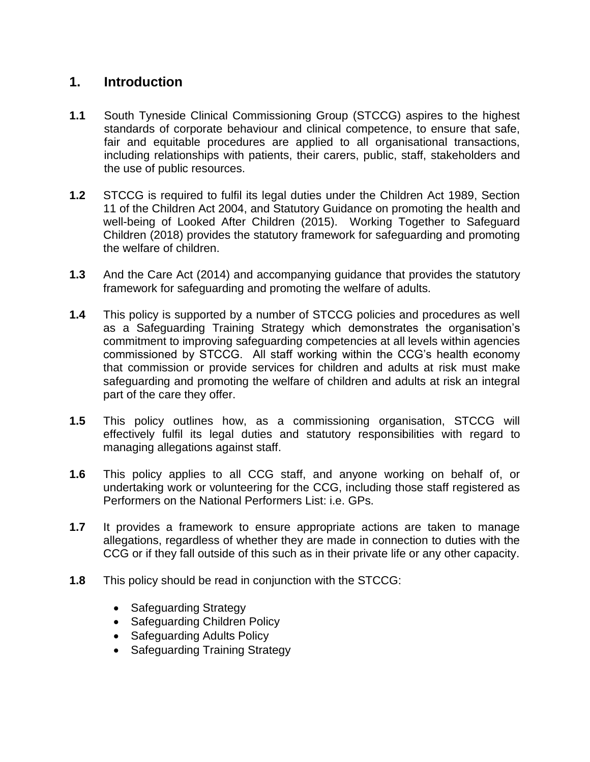#### **1. Introduction**

- <span id="page-3-0"></span>**1.1** South Tyneside Clinical Commissioning Group (STCCG) aspires to the highest standards of corporate behaviour and clinical competence, to ensure that safe, fair and equitable procedures are applied to all organisational transactions, including relationships with patients, their carers, public, staff, stakeholders and the use of public resources.
- **1.2** STCCG is required to fulfil its legal duties under the Children Act 1989, Section 11 of the Children Act 2004, and Statutory Guidance on promoting the health and well-being of Looked After Children (2015). Working Together to Safeguard Children (2018) provides the statutory framework for safeguarding and promoting the welfare of children.
- **1.3** And the Care Act (2014) and accompanying guidance that provides the statutory framework for safeguarding and promoting the welfare of adults.
- **1.4** This policy is supported by a number of STCCG policies and procedures as well as a Safeguarding Training Strategy which demonstrates the organisation's commitment to improving safeguarding competencies at all levels within agencies commissioned by STCCG. All staff working within the CCG's health economy that commission or provide services for children and adults at risk must make safeguarding and promoting the welfare of children and adults at risk an integral part of the care they offer.
- **1.5** This policy outlines how, as a commissioning organisation, STCCG will effectively fulfil its legal duties and statutory responsibilities with regard to managing allegations against staff.
- **1.6** This policy applies to all CCG staff, and anyone working on behalf of, or undertaking work or volunteering for the CCG, including those staff registered as Performers on the National Performers List: i.e. GPs.
- **1.7** It provides a framework to ensure appropriate actions are taken to manage allegations, regardless of whether they are made in connection to duties with the CCG or if they fall outside of this such as in their private life or any other capacity.
- **1.8** This policy should be read in conjunction with the STCCG:
	- Safeguarding Strategy
	- Safeguarding Children Policy
	- Safeguarding Adults Policy
	- Safeguarding Training Strategy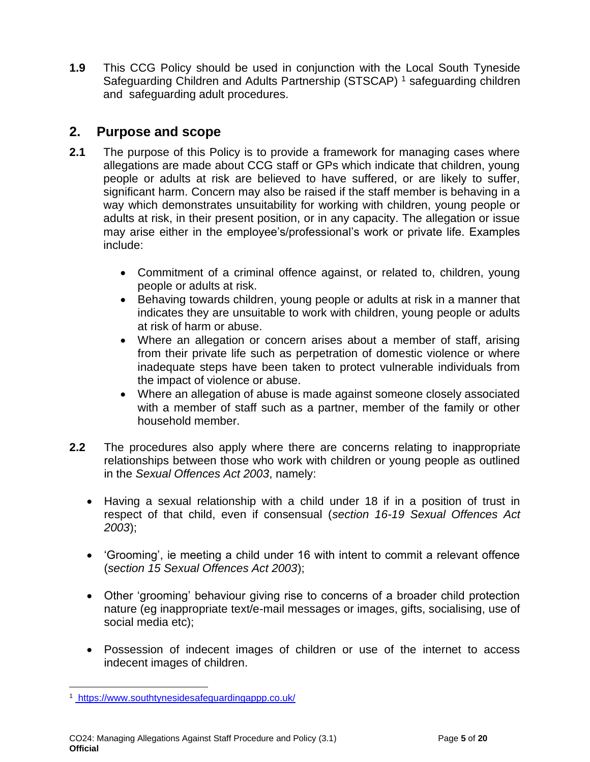**1.9** This CCG Policy should be used in conjunction with the Local South Tyneside Safeguarding Children and Adults Partnership (STSCAP)<sup>1</sup> safeguarding children and safeguarding adult procedures.

### **2. Purpose and scope**

- <span id="page-4-0"></span>**2.1** The purpose of this Policy is to provide a framework for managing cases where allegations are made about CCG staff or GPs which indicate that children, young people or adults at risk are believed to have suffered, or are likely to suffer, significant harm. Concern may also be raised if the staff member is behaving in a way which demonstrates unsuitability for working with children, young people or adults at risk, in their present position, or in any capacity. The allegation or issue may arise either in the employee's/professional's work or private life. Examples include:
	- Commitment of a criminal offence against, or related to, children, young people or adults at risk.
	- Behaving towards children, young people or adults at risk in a manner that indicates they are unsuitable to work with children, young people or adults at risk of harm or abuse.
	- Where an allegation or concern arises about a member of staff, arising from their private life such as perpetration of domestic violence or where inadequate steps have been taken to protect vulnerable individuals from the impact of violence or abuse.
	- Where an allegation of abuse is made against someone closely associated with a member of staff such as a partner, member of the family or other household member.
- **2.2** The procedures also apply where there are concerns relating to inappropriate relationships between those who work with children or young people as outlined in the *Sexual Offences Act 2003*, namely:
	- Having a sexual relationship with a child under 18 if in a position of trust in respect of that child, even if consensual (*section 16-19 Sexual Offences Act 2003*);
	- 'Grooming', ie meeting a child under 16 with intent to commit a relevant offence (*section 15 Sexual Offences Act 2003*);
	- Other 'grooming' behaviour giving rise to concerns of a broader child protection nature (eg inappropriate text/e-mail messages or images, gifts, socialising, use of social media etc);
	- Possession of indecent images of children or use of the internet to access indecent images of children.

<sup>1</sup> https://www.southtynesidesafeguardingappp.co.uk/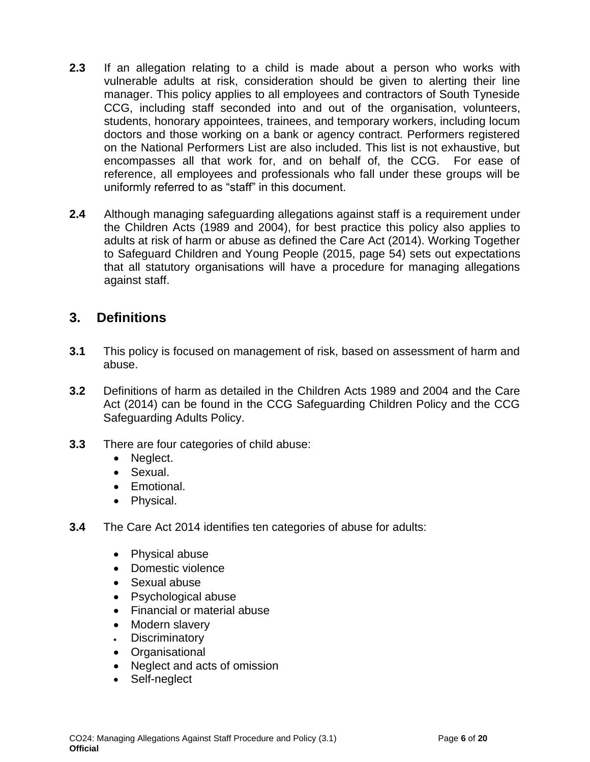- **2.3** If an allegation relating to a child is made about a person who works with vulnerable adults at risk, consideration should be given to alerting their line manager. This policy applies to all employees and contractors of South Tyneside CCG, including staff seconded into and out of the organisation, volunteers, students, honorary appointees, trainees, and temporary workers, including locum doctors and those working on a bank or agency contract. Performers registered on the National Performers List are also included. This list is not exhaustive, but encompasses all that work for, and on behalf of, the CCG. For ease of reference, all employees and professionals who fall under these groups will be uniformly referred to as "staff" in this document.
- **2.4** Although managing safeguarding allegations against staff is a requirement under the Children Acts (1989 and 2004), for best practice this policy also applies to adults at risk of harm or abuse as defined the Care Act (2014). Working Together to Safeguard Children and Young People (2015, page 54) sets out expectations that all statutory organisations will have a procedure for managing allegations against staff.

### **3. Definitions**

- <span id="page-5-0"></span>**3.1** This policy is focused on management of risk, based on assessment of harm and abuse.
- **3.2** Definitions of harm as detailed in the Children Acts 1989 and 2004 and the Care Act (2014) can be found in the CCG Safeguarding Children Policy and the CCG Safeguarding Adults Policy.
- **3.3** There are four categories of child abuse:
	- Neglect.
	- Sexual.
	- Emotional.
	- Physical.
- **3.4** The Care Act 2014 identifies ten categories of abuse for adults:
	- Physical abuse
	- Domestic violence
	- Sexual abuse
	- Psychological abuse
	- Financial or material abuse
	- Modern slavery
	- **Discriminatory**
	- Organisational
	- Neglect and acts of omission
	- Self-neglect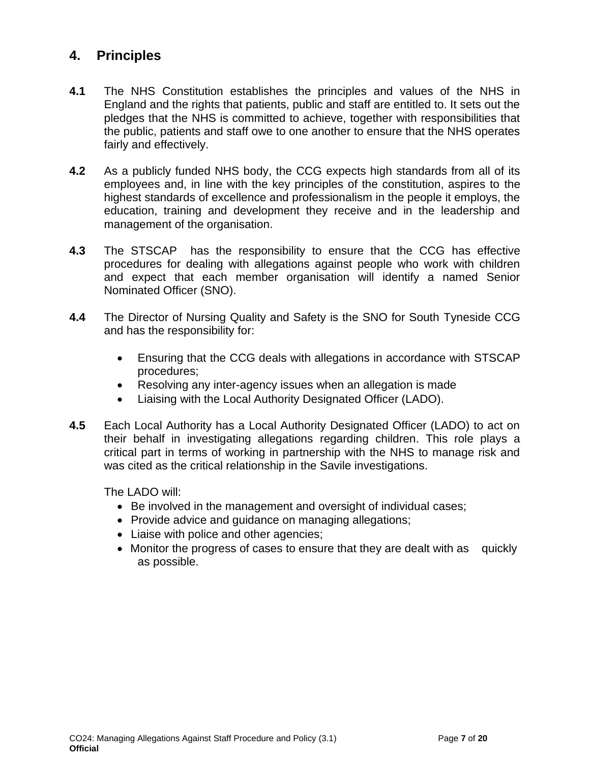### **4. Principles**

- <span id="page-6-0"></span>**4.1** The NHS Constitution establishes the principles and values of the NHS in England and the rights that patients, public and staff are entitled to. It sets out the pledges that the NHS is committed to achieve, together with responsibilities that the public, patients and staff owe to one another to ensure that the NHS operates fairly and effectively.
- **4.2** As a publicly funded NHS body, the CCG expects high standards from all of its employees and, in line with the key principles of the constitution, aspires to the highest standards of excellence and professionalism in the people it employs, the education, training and development they receive and in the leadership and management of the organisation.
- **4.3** The STSCAP has the responsibility to ensure that the CCG has effective procedures for dealing with allegations against people who work with children and expect that each member organisation will identify a named Senior Nominated Officer (SNO).
- **4.4** The Director of Nursing Quality and Safety is the SNO for South Tyneside CCG and has the responsibility for:
	- Ensuring that the CCG deals with allegations in accordance with STSCAP procedures;
	- Resolving any inter-agency issues when an allegation is made
	- Liaising with the Local Authority Designated Officer (LADO).
- **4.5** Each Local Authority has a Local Authority Designated Officer (LADO) to act on their behalf in investigating allegations regarding children. This role plays a critical part in terms of working in partnership with the NHS to manage risk and was cited as the critical relationship in the Savile investigations.

The LADO will:

- Be involved in the management and oversight of individual cases;
- Provide advice and guidance on managing allegations;
- Liaise with police and other agencies;
- Monitor the progress of cases to ensure that they are dealt with as quickly as possible.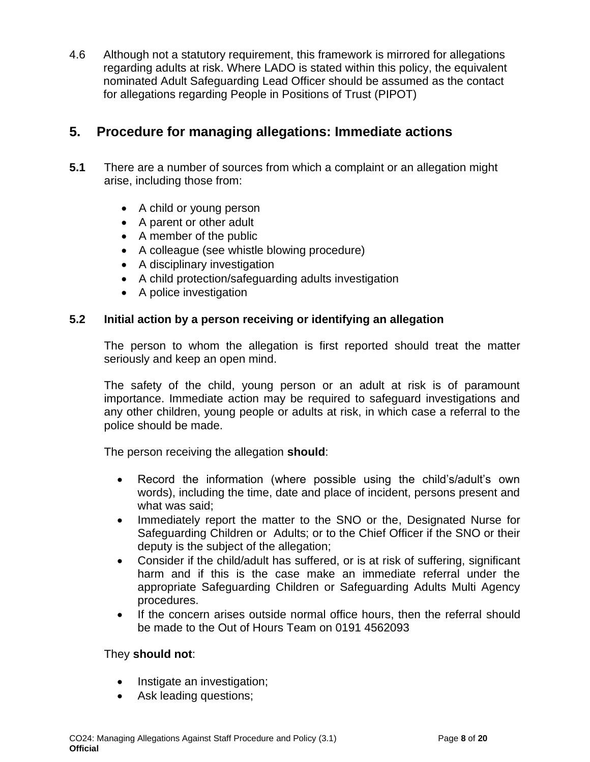4.6 Although not a statutory requirement, this framework is mirrored for allegations regarding adults at risk. Where LADO is stated within this policy, the equivalent nominated Adult Safeguarding Lead Officer should be assumed as the contact for allegations regarding People in Positions of Trust (PIPOT)

### **5. Procedure for managing allegations: Immediate actions**

- <span id="page-7-0"></span>**5.1** There are a number of sources from which a complaint or an allegation might arise, including those from:
	- A child or young person
	- A parent or other adult
	- A member of the public
	- A colleague (see whistle blowing procedure)
	- A disciplinary investigation
	- A child protection/safeguarding adults investigation
	- A police investigation

#### **5.2 Initial action by a person receiving or identifying an allegation**

The person to whom the allegation is first reported should treat the matter seriously and keep an open mind.

The safety of the child, young person or an adult at risk is of paramount importance. Immediate action may be required to safeguard investigations and any other children, young people or adults at risk, in which case a referral to the police should be made.

The person receiving the allegation **should**:

- Record the information (where possible using the child's/adult's own words), including the time, date and place of incident, persons present and what was said:
- Immediately report the matter to the SNO or the, Designated Nurse for Safeguarding Children or Adults; or to the Chief Officer if the SNO or their deputy is the subject of the allegation;
- Consider if the child/adult has suffered, or is at risk of suffering, significant harm and if this is the case make an immediate referral under the appropriate Safeguarding Children or Safeguarding Adults Multi Agency procedures.
- If the concern arises outside normal office hours, then the referral should be made to the Out of Hours Team on 0191 4562093

#### They **should not**:

- Instigate an investigation;
- Ask leading questions;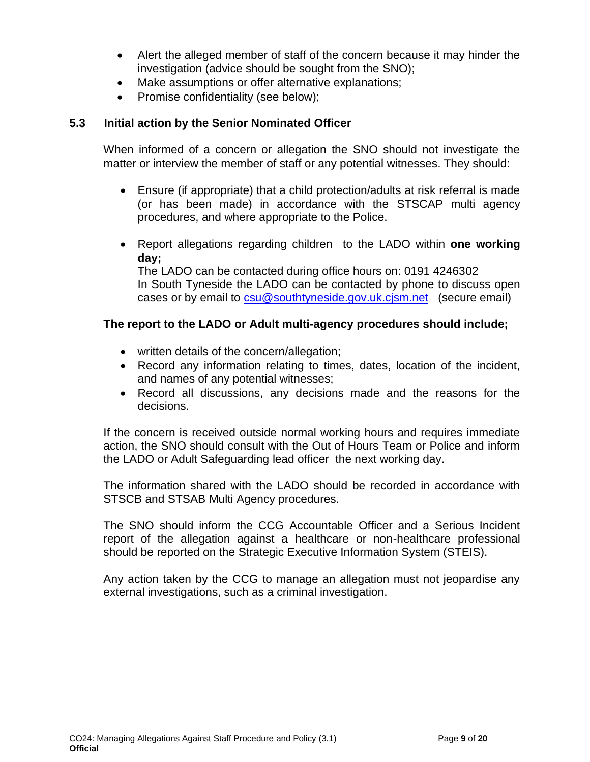- Alert the alleged member of staff of the concern because it may hinder the investigation (advice should be sought from the SNO);
- Make assumptions or offer alternative explanations;
- Promise confidentiality (see below);

#### **5.3 Initial action by the Senior Nominated Officer**

When informed of a concern or allegation the SNO should not investigate the matter or interview the member of staff or any potential witnesses. They should:

- Ensure (if appropriate) that a child protection/adults at risk referral is made (or has been made) in accordance with the STSCAP multi agency procedures, and where appropriate to the Police.
- Report allegations regarding children to the LADO within **one working day;**

The LADO can be contacted during office hours on: 0191 4246302 In South Tyneside the LADO can be contacted by phone to discuss open cases or by email to [csu@southtyneside.gov.uk.cjsm.net](mailto:csu@southtyneside.gov.uk.cjsm.net) (secure email)

#### **The report to the LADO or Adult multi-agency procedures should include;**

- written details of the concern/allegation;
- Record any information relating to times, dates, location of the incident, and names of any potential witnesses;
- Record all discussions, any decisions made and the reasons for the decisions.

If the concern is received outside normal working hours and requires immediate action, the SNO should consult with the Out of Hours Team or Police and inform the LADO or Adult Safeguarding lead officer the next working day.

The information shared with the LADO should be recorded in accordance with STSCB and STSAB Multi Agency procedures.

The SNO should inform the CCG Accountable Officer and a Serious Incident report of the allegation against a healthcare or non-healthcare professional should be reported on the Strategic Executive Information System (STEIS).

Any action taken by the CCG to manage an allegation must not jeopardise any external investigations, such as a criminal investigation.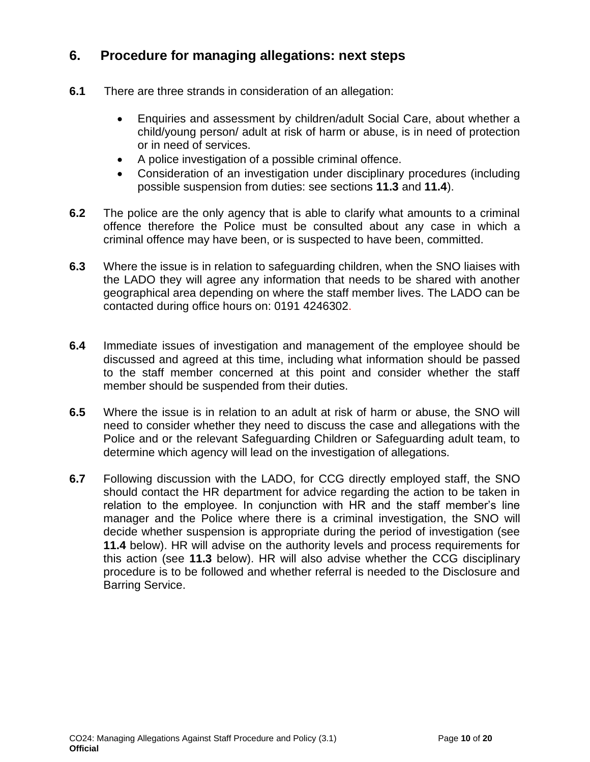### **6. Procedure for managing allegations: next steps**

- <span id="page-9-0"></span>**6.1** There are three strands in consideration of an allegation:
	- Enquiries and assessment by children/adult Social Care, about whether a child/young person/ adult at risk of harm or abuse, is in need of protection or in need of services.
	- A police investigation of a possible criminal offence.
	- Consideration of an investigation under disciplinary procedures (including possible suspension from duties: see sections **11.3** and **11.4**).
- **6.2** The police are the only agency that is able to clarify what amounts to a criminal offence therefore the Police must be consulted about any case in which a criminal offence may have been, or is suspected to have been, committed.
- **6.3** Where the issue is in relation to safeguarding children, when the SNO liaises with the LADO they will agree any information that needs to be shared with another geographical area depending on where the staff member lives. The LADO can be contacted during office hours on: 0191 4246302.
- **6.4** Immediate issues of investigation and management of the employee should be discussed and agreed at this time, including what information should be passed to the staff member concerned at this point and consider whether the staff member should be suspended from their duties.
- **6.5** Where the issue is in relation to an adult at risk of harm or abuse, the SNO will need to consider whether they need to discuss the case and allegations with the Police and or the relevant Safeguarding Children or Safeguarding adult team, to determine which agency will lead on the investigation of allegations.
- **6.7** Following discussion with the LADO, for CCG directly employed staff, the SNO should contact the HR department for advice regarding the action to be taken in relation to the employee. In conjunction with HR and the staff member's line manager and the Police where there is a criminal investigation, the SNO will decide whether suspension is appropriate during the period of investigation (see **11.4** below). HR will advise on the authority levels and process requirements for this action (see **11.3** below). HR will also advise whether the CCG disciplinary procedure is to be followed and whether referral is needed to the Disclosure and Barring Service.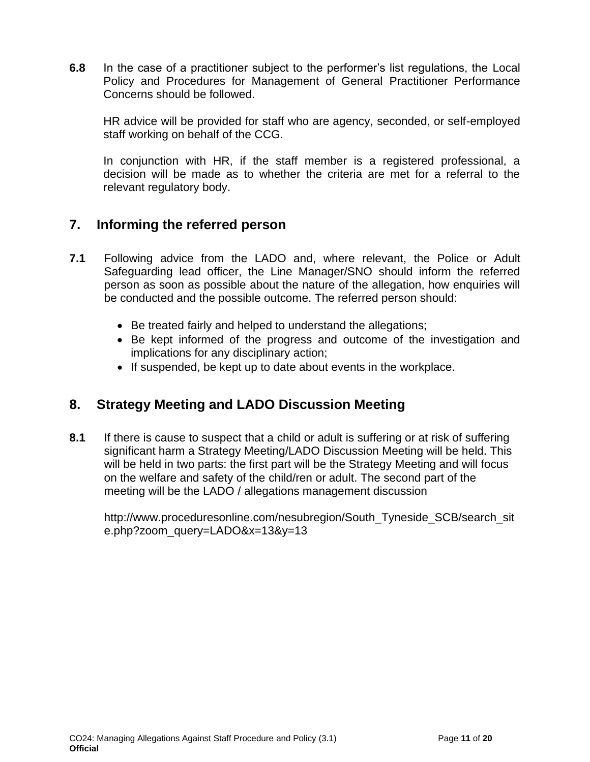**6.8** In the case of a practitioner subject to the performer's list regulations, the Local Policy and Procedures for Management of General Practitioner Performance Concerns should be followed.

HR advice will be provided for staff who are agency, seconded, or self-employed staff working on behalf of the CCG.

In conjunction with HR, if the staff member is a registered professional, a decision will be made as to whether the criteria are met for a referral to the relevant regulatory body.

### **7. Informing the referred person**

- <span id="page-10-0"></span>**7.1** Following advice from the LADO and, where relevant, the Police or Adult Safeguarding lead officer, the Line Manager/SNO should inform the referred person as soon as possible about the nature of the allegation, how enquiries will be conducted and the possible outcome. The referred person should:
	- Be treated fairly and helped to understand the allegations;
	- Be kept informed of the progress and outcome of the investigation and implications for any disciplinary action;
	- If suspended, be kept up to date about events in the workplace.

### **8. Strategy Meeting and LADO Discussion Meeting**

<span id="page-10-1"></span>**8.1** If there is cause to suspect that a child or adult is suffering or at risk of suffering significant harm a Strategy Meeting/LADO Discussion Meeting will be held. This will be held in two parts: the first part will be the Strategy Meeting and will focus on the welfare and safety of the child/ren or adult. The second part of the meeting will be the LADO / allegations management discussion

http://www.proceduresonline.com/nesubregion/South\_Tyneside\_SCB/search\_sit e.php?zoom\_query=LADO&x=13&y=13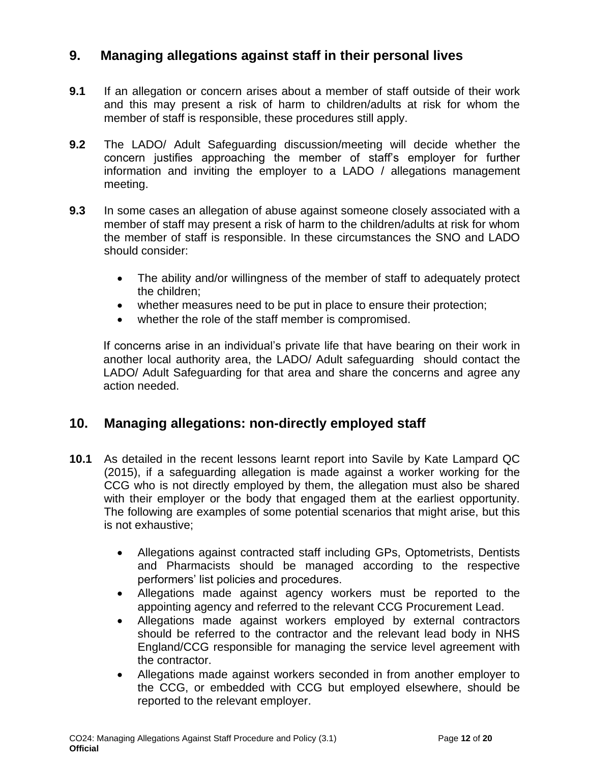### **9. Managing allegations against staff in their personal lives**

- <span id="page-11-0"></span>**9.1** If an allegation or concern arises about a member of staff outside of their work and this may present a risk of harm to children/adults at risk for whom the member of staff is responsible, these procedures still apply.
- **9.2** The LADO/ Adult Safeguarding discussion/meeting will decide whether the concern justifies approaching the member of staff's employer for further information and inviting the employer to a LADO / allegations management meeting.
- **9.3** In some cases an allegation of abuse against someone closely associated with a member of staff may present a risk of harm to the children/adults at risk for whom the member of staff is responsible. In these circumstances the SNO and LADO should consider:
	- The ability and/or willingness of the member of staff to adequately protect the children;
	- whether measures need to be put in place to ensure their protection;
	- whether the role of the staff member is compromised.

If concerns arise in an individual's private life that have bearing on their work in another local authority area, the LADO/ Adult safeguarding should contact the LADO/ Adult Safeguarding for that area and share the concerns and agree any action needed.

#### **10. Managing allegations: non-directly employed staff**

- <span id="page-11-1"></span>**10.1** As detailed in the recent lessons learnt report into Savile by Kate Lampard QC (2015), if a safeguarding allegation is made against a worker working for the CCG who is not directly employed by them, the allegation must also be shared with their employer or the body that engaged them at the earliest opportunity. The following are examples of some potential scenarios that might arise, but this is not exhaustive;
	- Allegations against contracted staff including GPs, Optometrists, Dentists and Pharmacists should be managed according to the respective performers' list policies and procedures.
	- Allegations made against agency workers must be reported to the appointing agency and referred to the relevant CCG Procurement Lead.
	- Allegations made against workers employed by external contractors should be referred to the contractor and the relevant lead body in NHS England/CCG responsible for managing the service level agreement with the contractor.
	- Allegations made against workers seconded in from another employer to the CCG, or embedded with CCG but employed elsewhere, should be reported to the relevant employer.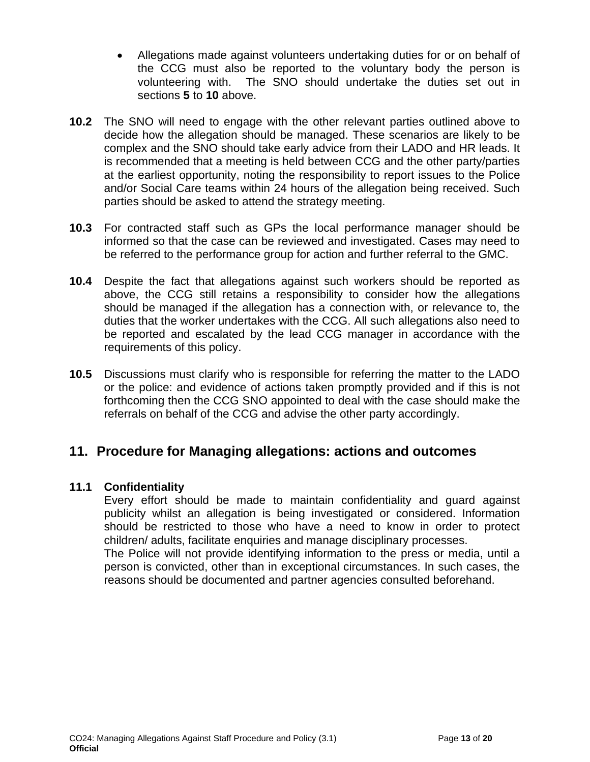- Allegations made against volunteers undertaking duties for or on behalf of the CCG must also be reported to the voluntary body the person is volunteering with. The SNO should undertake the duties set out in sections **5** to **10** above.
- **10.2** The SNO will need to engage with the other relevant parties outlined above to decide how the allegation should be managed. These scenarios are likely to be complex and the SNO should take early advice from their LADO and HR leads. It is recommended that a meeting is held between CCG and the other party/parties at the earliest opportunity, noting the responsibility to report issues to the Police and/or Social Care teams within 24 hours of the allegation being received. Such parties should be asked to attend the strategy meeting.
- **10.3** For contracted staff such as GPs the local performance manager should be informed so that the case can be reviewed and investigated. Cases may need to be referred to the performance group for action and further referral to the GMC.
- **10.4** Despite the fact that allegations against such workers should be reported as above, the CCG still retains a responsibility to consider how the allegations should be managed if the allegation has a connection with, or relevance to, the duties that the worker undertakes with the CCG. All such allegations also need to be reported and escalated by the lead CCG manager in accordance with the requirements of this policy.
- **10.5** Discussions must clarify who is responsible for referring the matter to the LADO or the police: and evidence of actions taken promptly provided and if this is not forthcoming then the CCG SNO appointed to deal with the case should make the referrals on behalf of the CCG and advise the other party accordingly.

### **11. Procedure for Managing allegations: actions and outcomes**

#### <span id="page-12-0"></span>**11.1 Confidentiality**

Every effort should be made to maintain confidentiality and guard against publicity whilst an allegation is being investigated or considered. Information should be restricted to those who have a need to know in order to protect children/ adults, facilitate enquiries and manage disciplinary processes.

The Police will not provide identifying information to the press or media, until a person is convicted, other than in exceptional circumstances. In such cases, the reasons should be documented and partner agencies consulted beforehand.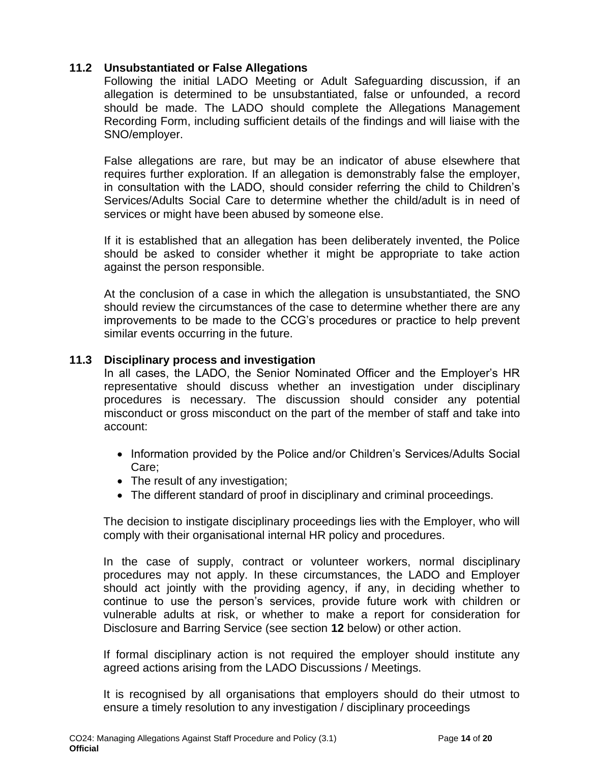#### **11.2 Unsubstantiated or False Allegations**

Following the initial LADO Meeting or Adult Safeguarding discussion, if an allegation is determined to be unsubstantiated, false or unfounded, a record should be made. The LADO should complete the Allegations Management Recording Form, including sufficient details of the findings and will liaise with the SNO/employer.

False allegations are rare, but may be an indicator of abuse elsewhere that requires further exploration. If an allegation is demonstrably false the employer, in consultation with the LADO, should consider referring the child to Children's Services/Adults Social Care to determine whether the child/adult is in need of services or might have been abused by someone else.

If it is established that an allegation has been deliberately invented, the Police should be asked to consider whether it might be appropriate to take action against the person responsible.

At the conclusion of a case in which the allegation is unsubstantiated, the SNO should review the circumstances of the case to determine whether there are any improvements to be made to the CCG's procedures or practice to help prevent similar events occurring in the future.

#### **11.3 Disciplinary process and investigation**

In all cases, the LADO, the Senior Nominated Officer and the Employer's HR representative should discuss whether an investigation under disciplinary procedures is necessary. The discussion should consider any potential misconduct or gross misconduct on the part of the member of staff and take into account:

- Information provided by the Police and/or Children's Services/Adults Social Care;
- The result of any investigation;
- The different standard of proof in disciplinary and criminal proceedings.

The decision to instigate disciplinary proceedings lies with the Employer, who will comply with their organisational internal HR policy and procedures.

In the case of supply, contract or volunteer workers, normal disciplinary procedures may not apply. In these circumstances, the LADO and Employer should act jointly with the providing agency, if any, in deciding whether to continue to use the person's services, provide future work with children or vulnerable adults at risk, or whether to make a report for consideration for Disclosure and Barring Service (see section **12** below) or other action.

If formal disciplinary action is not required the employer should institute any agreed actions arising from the LADO Discussions / Meetings.

It is recognised by all organisations that employers should do their utmost to ensure a timely resolution to any investigation / disciplinary proceedings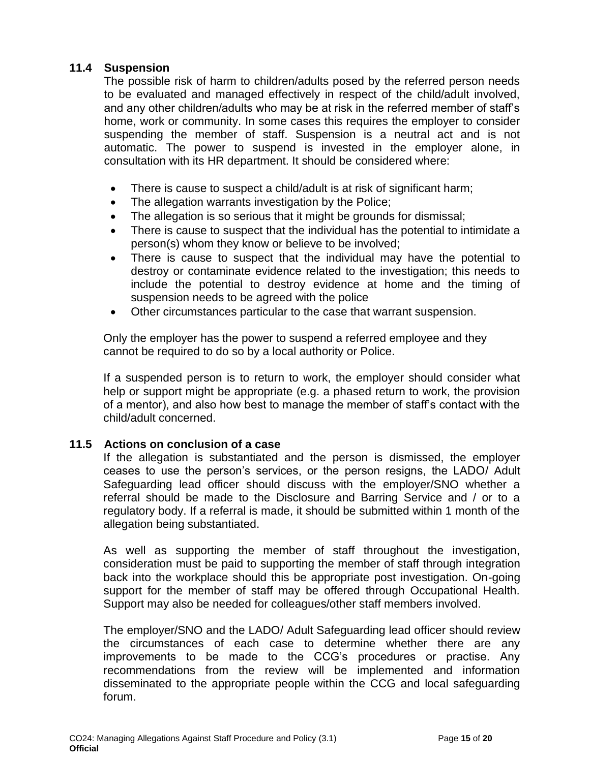#### **11.4 Suspension**

The possible risk of harm to children/adults posed by the referred person needs to be evaluated and managed effectively in respect of the child/adult involved, and any other children/adults who may be at risk in the referred member of staff's home, work or community. In some cases this requires the employer to consider suspending the member of staff. Suspension is a neutral act and is not automatic. The power to suspend is invested in the employer alone, in consultation with its HR department. It should be considered where:

- There is cause to suspect a child/adult is at risk of significant harm;
- The allegation warrants investigation by the Police;
- The allegation is so serious that it might be grounds for dismissal;
- There is cause to suspect that the individual has the potential to intimidate a person(s) whom they know or believe to be involved;
- There is cause to suspect that the individual may have the potential to destroy or contaminate evidence related to the investigation; this needs to include the potential to destroy evidence at home and the timing of suspension needs to be agreed with the police
- Other circumstances particular to the case that warrant suspension.

Only the employer has the power to suspend a referred employee and they cannot be required to do so by a local authority or Police.

If a suspended person is to return to work, the employer should consider what help or support might be appropriate (e.g. a phased return to work, the provision of a mentor), and also how best to manage the member of staff's contact with the child/adult concerned.

#### **11.5 Actions on conclusion of a case**

If the allegation is substantiated and the person is dismissed, the employer ceases to use the person's services, or the person resigns, the LADO/ Adult Safeguarding lead officer should discuss with the employer/SNO whether a referral should be made to the Disclosure and Barring Service and / or to a regulatory body. If a referral is made, it should be submitted within 1 month of the allegation being substantiated.

As well as supporting the member of staff throughout the investigation, consideration must be paid to supporting the member of staff through integration back into the workplace should this be appropriate post investigation. On-going support for the member of staff may be offered through Occupational Health. Support may also be needed for colleagues/other staff members involved.

The employer/SNO and the LADO/ Adult Safeguarding lead officer should review the circumstances of each case to determine whether there are any improvements to be made to the CCG's procedures or practise. Any recommendations from the review will be implemented and information disseminated to the appropriate people within the CCG and local safeguarding forum.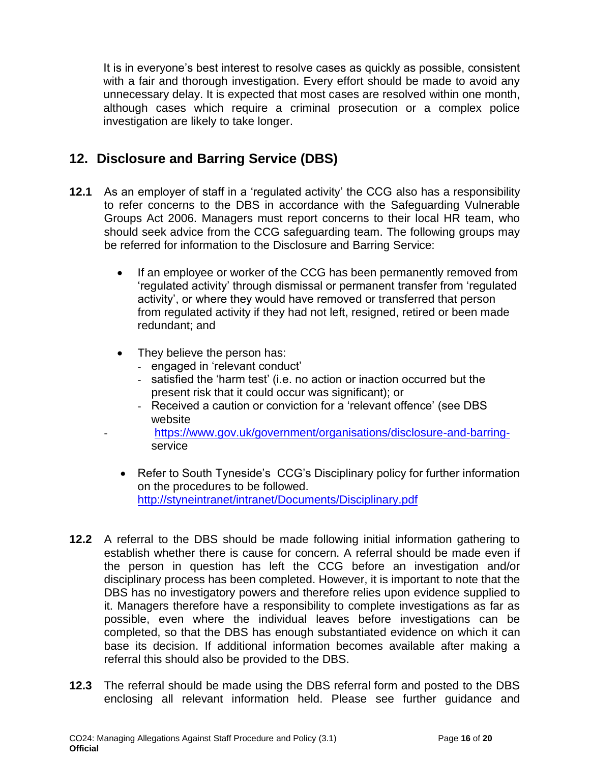It is in everyone's best interest to resolve cases as quickly as possible, consistent with a fair and thorough investigation. Every effort should be made to avoid any unnecessary delay. It is expected that most cases are resolved within one month, although cases which require a criminal prosecution or a complex police investigation are likely to take longer.

### **12. Disclosure and Barring Service (DBS)**

- <span id="page-15-0"></span>**12.1** As an employer of staff in a 'regulated activity' the CCG also has a responsibility to refer concerns to the DBS in accordance with the Safeguarding Vulnerable Groups Act 2006. Managers must report concerns to their local HR team, who should seek advice from the CCG safeguarding team. The following groups may be referred for information to the Disclosure and Barring Service:
	- If an employee or worker of the CCG has been permanently removed from 'regulated activity' through dismissal or permanent transfer from 'regulated activity', or where they would have removed or transferred that person from regulated activity if they had not left, resigned, retired or been made redundant; and
	- They believe the person has:
		- engaged in 'relevant conduct'
		- satisfied the 'harm test' (i.e. no action or inaction occurred but the present risk that it could occur was significant); or
		- Received a caution or conviction for a 'relevant offence' (see DBS website
	- [https://www.gov.uk/government/organisations/disclosure-and-barring](https://www.gov.uk/government/organisations/disclosure-and-barring-)service
	- Refer to South Tyneside's CCG's Disciplinary policy for further information on the procedures to be followed. <http://styneintranet/intranet/Documents/Disciplinary.pdf>
- **12.2** A referral to the DBS should be made following initial information gathering to establish whether there is cause for concern. A referral should be made even if the person in question has left the CCG before an investigation and/or disciplinary process has been completed. However, it is important to note that the DBS has no investigatory powers and therefore relies upon evidence supplied to it. Managers therefore have a responsibility to complete investigations as far as possible, even where the individual leaves before investigations can be completed, so that the DBS has enough substantiated evidence on which it can base its decision. If additional information becomes available after making a referral this should also be provided to the DBS.
- **12.3** The referral should be made using the DBS referral form and posted to the DBS enclosing all relevant information held. Please see further guidance and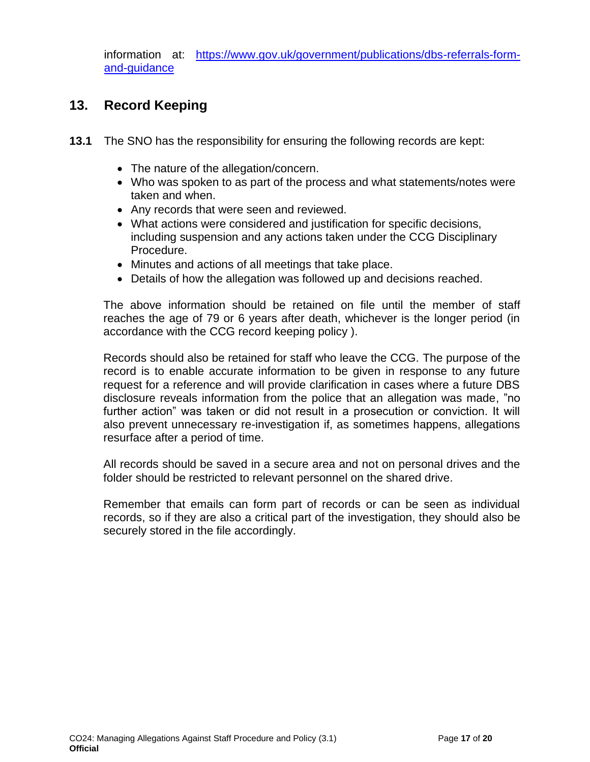information at: [https://www.gov.uk/government/publications/dbs-referrals-form](https://www.gov.uk/government/publications/dbs-referrals-form-and-guidance)[and-guidance](https://www.gov.uk/government/publications/dbs-referrals-form-and-guidance)

### **13. Record Keeping**

- <span id="page-16-0"></span>**13.1** The SNO has the responsibility for ensuring the following records are kept:
	- The nature of the allegation/concern.
	- Who was spoken to as part of the process and what statements/notes were taken and when.
	- Any records that were seen and reviewed.
	- What actions were considered and justification for specific decisions, including suspension and any actions taken under the CCG Disciplinary Procedure.
	- Minutes and actions of all meetings that take place.
	- Details of how the allegation was followed up and decisions reached.

The above information should be retained on file until the member of staff reaches the age of 79 or 6 years after death, whichever is the longer period (in accordance with the CCG record keeping policy ).

Records should also be retained for staff who leave the CCG. The purpose of the record is to enable accurate information to be given in response to any future request for a reference and will provide clarification in cases where a future DBS disclosure reveals information from the police that an allegation was made, "no further action" was taken or did not result in a prosecution or conviction. It will also prevent unnecessary re-investigation if, as sometimes happens, allegations resurface after a period of time.

All records should be saved in a secure area and not on personal drives and the folder should be restricted to relevant personnel on the shared drive.

Remember that emails can form part of records or can be seen as individual records, so if they are also a critical part of the investigation, they should also be securely stored in the file accordingly.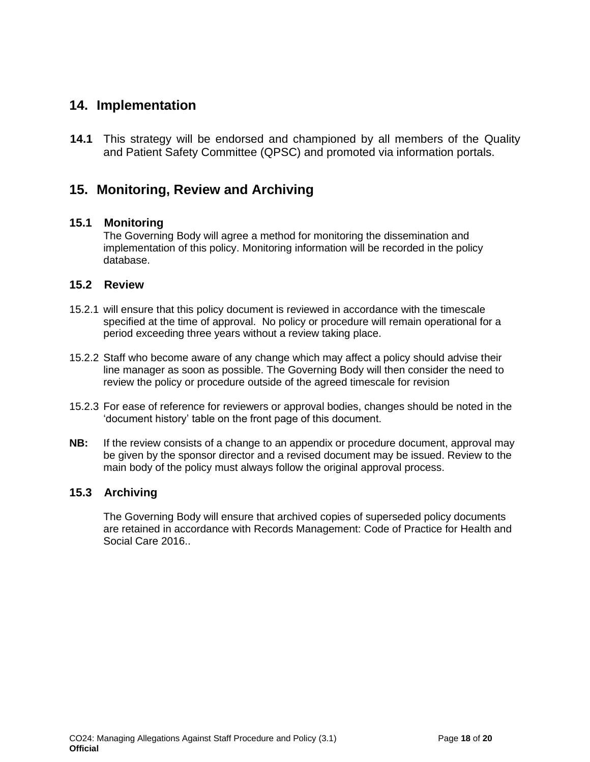#### **14. Implementation**

<span id="page-17-0"></span>**14.1** This strategy will be endorsed and championed by all members of the Quality and Patient Safety Committee (QPSC) and promoted via information portals.

### **15. Monitoring, Review and Archiving**

#### <span id="page-17-1"></span>**15.1 Monitoring**

The Governing Body will agree a method for monitoring the dissemination and implementation of this policy. Monitoring information will be recorded in the policy database.

#### **15.2 Review**

- 15.2.1 will ensure that this policy document is reviewed in accordance with the timescale specified at the time of approval. No policy or procedure will remain operational for a period exceeding three years without a review taking place.
- 15.2.2 Staff who become aware of any change which may affect a policy should advise their line manager as soon as possible. The Governing Body will then consider the need to review the policy or procedure outside of the agreed timescale for revision
- 15.2.3 For ease of reference for reviewers or approval bodies, changes should be noted in the 'document history' table on the front page of this document.
- **NB:** If the review consists of a change to an appendix or procedure document, approval may be given by the sponsor director and a revised document may be issued. Review to the main body of the policy must always follow the original approval process.

#### **15.3 Archiving**

The Governing Body will ensure that archived copies of superseded policy documents are retained in accordance with Records Management: Code of Practice for Health and Social Care 2016..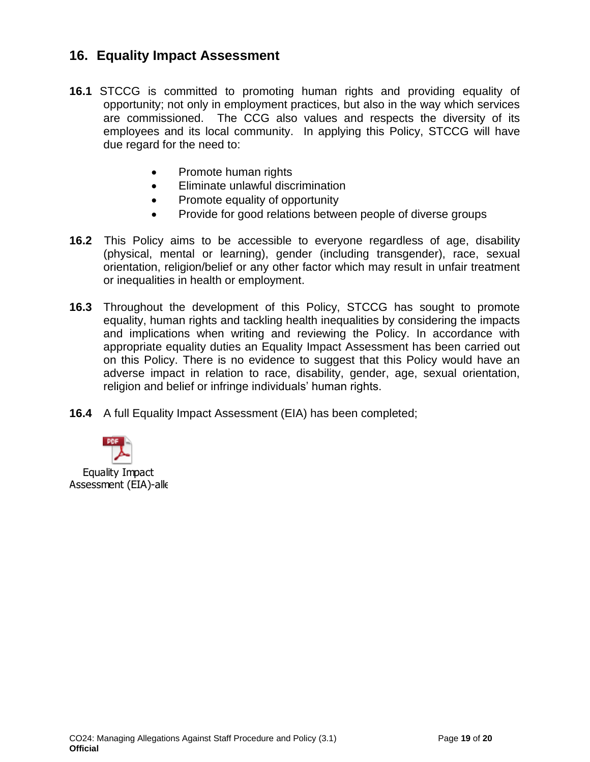### **16. Equality Impact Assessment**

- <span id="page-18-0"></span>**16.1** STCCG is committed to promoting human rights and providing equality of opportunity; not only in employment practices, but also in the way which services are commissioned. The CCG also values and respects the diversity of its employees and its local community. In applying this Policy, STCCG will have due regard for the need to:
	- Promote human rights
	- Eliminate unlawful discrimination
	- Promote equality of opportunity
	- Provide for good relations between people of diverse groups
- **16.2** This Policy aims to be accessible to everyone regardless of age, disability (physical, mental or learning), gender (including transgender), race, sexual orientation, religion/belief or any other factor which may result in unfair treatment or inequalities in health or employment.
- **16.3** Throughout the development of this Policy, STCCG has sought to promote equality, human rights and tackling health inequalities by considering the impacts and implications when writing and reviewing the Policy. In accordance with appropriate equality duties an Equality Impact Assessment has been carried out on this Policy. There is no evidence to suggest that this Policy would have an adverse impact in relation to race, disability, gender, age, sexual orientation, religion and belief or infringe individuals' human rights.
- **16.4** A full Equality Impact Assessment (EIA) has been completed;



CO24: Managing Allegations Against Staff Procedure and Policy (3.1) Page **19** of **20 Official**